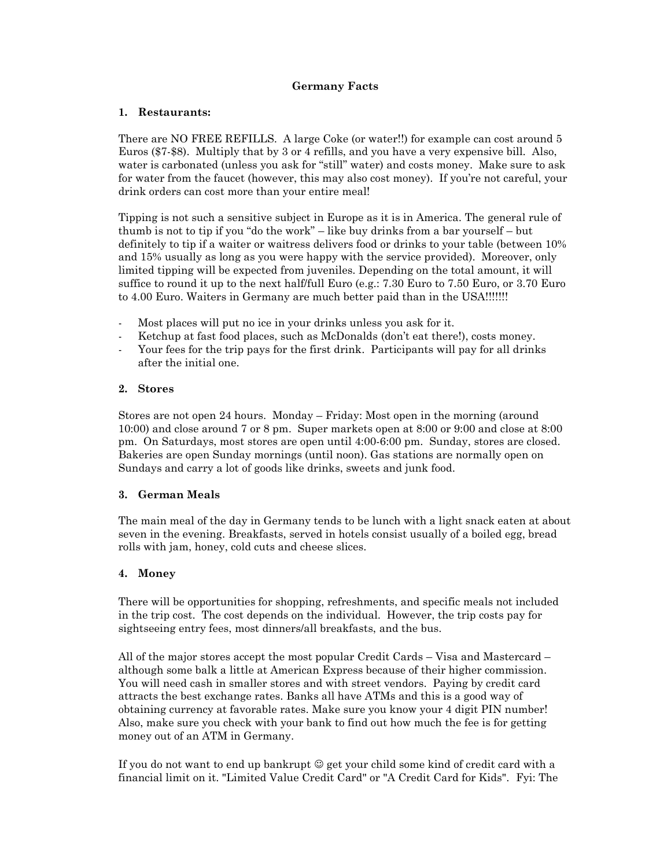#### **Germany Facts**

#### **1. Restaurants:**

There are NO FREE REFILLS. A large Coke (or water!!) for example can cost around 5 Euros (\$7-\$8). Multiply that by 3 or 4 refills, and you have a very expensive bill. Also, water is carbonated (unless you ask for "still" water) and costs money. Make sure to ask for water from the faucet (however, this may also cost money). If you're not careful, your drink orders can cost more than your entire meal!

Tipping is not such a sensitive subject in Europe as it is in America. The general rule of thumb is not to tip if you "do the work" – like buy drinks from a bar yourself – but definitely to tip if a waiter or waitress delivers food or drinks to your table (between 10% and 15% usually as long as you were happy with the service provided). Moreover, only limited tipping will be expected from juveniles. Depending on the total amount, it will suffice to round it up to the next half/full Euro (e.g.: 7.30 Euro to 7.50 Euro, or 3.70 Euro to 4.00 Euro. Waiters in Germany are much better paid than in the USA!!!!!!!

- Most places will put no ice in your drinks unless you ask for it.
- Ketchup at fast food places, such as McDonalds (don't eat there!), costs money.
- Your fees for the trip pays for the first drink. Participants will pay for all drinks after the initial one.

#### **2. Stores**

Stores are not open 24 hours. Monday – Friday: Most open in the morning (around 10:00) and close around 7 or 8 pm. Super markets open at 8:00 or 9:00 and close at 8:00 pm. On Saturdays, most stores are open until 4:00-6:00 pm. Sunday, stores are closed. Bakeries are open Sunday mornings (until noon). Gas stations are normally open on Sundays and carry a lot of goods like drinks, sweets and junk food.

### **3. German Meals**

The main meal of the day in Germany tends to be lunch with a light snack eaten at about seven in the evening. Breakfasts, served in hotels consist usually of a boiled egg, bread rolls with jam, honey, cold cuts and cheese slices.

### **4. Money**

There will be opportunities for shopping, refreshments, and specific meals not included in the trip cost. The cost depends on the individual. However, the trip costs pay for sightseeing entry fees, most dinners/all breakfasts, and the bus.

All of the major stores accept the most popular Credit Cards – Visa and Mastercard – although some balk a little at American Express because of their higher commission. You will need cash in smaller stores and with street vendors. Paying by credit card attracts the best exchange rates. Banks all have ATMs and this is a good way of obtaining currency at favorable rates. Make sure you know your 4 digit PIN number! Also, make sure you check with your bank to find out how much the fee is for getting money out of an ATM in Germany.

If you do not want to end up bankrupt  $\mathcal O$  get your child some kind of credit card with a financial limit on it. "Limited Value Credit Card" or "A Credit Card for Kids". Fyi: The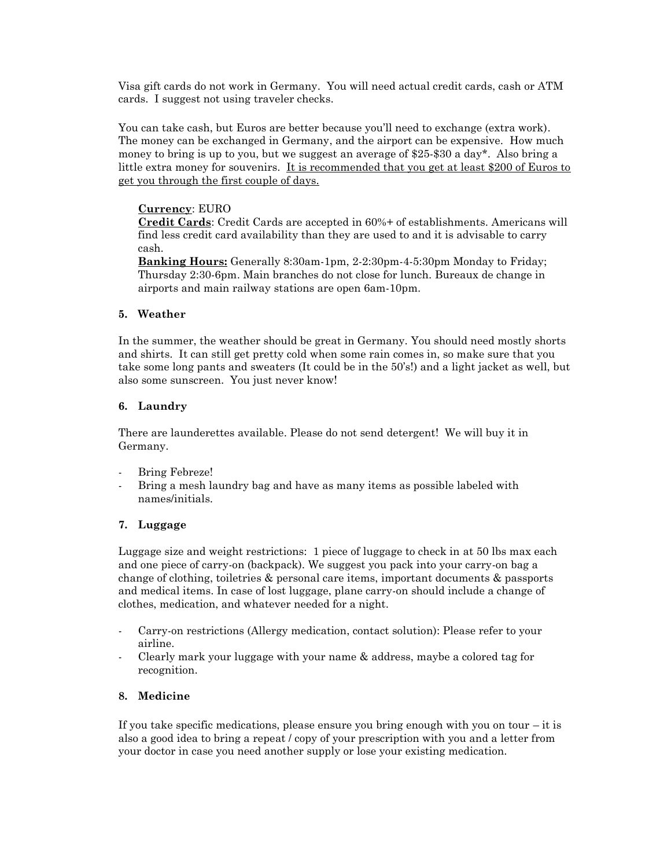Visa gift cards do not work in Germany. You will need actual credit cards, cash or ATM cards. I suggest not using traveler checks.

You can take cash, but Euros are better because you'll need to exchange (extra work). The money can be exchanged in Germany, and the airport can be expensive. How much money to bring is up to you, but we suggest an average of \$25-\$30 a day\*. Also bring a little extra money for souvenirs. It is recommended that you get at least \$200 of Euros to get you through the first couple of days.

#### **Currency**: EURO

**Credit Cards**: Credit Cards are accepted in 60%+ of establishments. Americans will find less credit card availability than they are used to and it is advisable to carry cash.

**Banking Hours:** Generally 8:30am-1pm, 2-2:30pm-4-5:30pm Monday to Friday; Thursday 2:30-6pm. Main branches do not close for lunch. Bureaux de change in airports and main railway stations are open 6am-10pm.

#### **5. Weather**

In the summer, the weather should be great in Germany. You should need mostly shorts and shirts. It can still get pretty cold when some rain comes in, so make sure that you take some long pants and sweaters (It could be in the 50's!) and a light jacket as well, but also some sunscreen. You just never know!

#### **6. Laundry**

There are launderettes available. Please do not send detergent! We will buy it in Germany.

- Bring Febreze!
- Bring a mesh laundry bag and have as many items as possible labeled with names/initials.

### **7. Luggage**

Luggage size and weight restrictions: 1 piece of luggage to check in at 50 lbs max each and one piece of carry-on (backpack). We suggest you pack into your carry-on bag a change of clothing, toiletries & personal care items, important documents & passports and medical items. In case of lost luggage, plane carry-on should include a change of clothes, medication, and whatever needed for a night.

- Carry-on restrictions (Allergy medication, contact solution): Please refer to your airline.
- Clearly mark your luggage with your name & address, maybe a colored tag for recognition.

#### **8. Medicine**

If you take specific medications, please ensure you bring enough with you on tour  $-$  it is also a good idea to bring a repeat / copy of your prescription with you and a letter from your doctor in case you need another supply or lose your existing medication.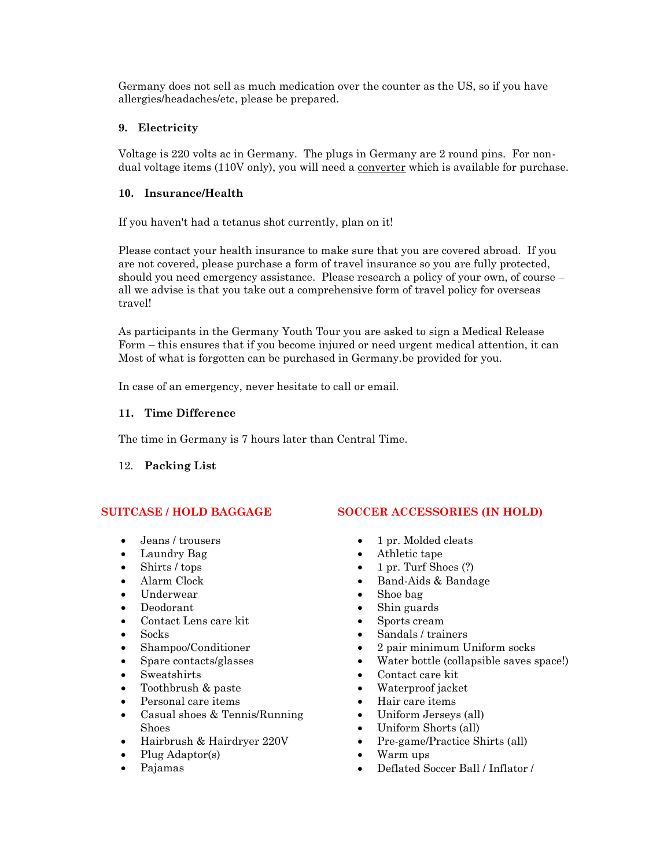Germany does not sell as much medication over the counter as the US, so if you have allergies/headaches/etc, please be prepared.

### **9. Electricity**

Voltage is 220 volts ac in Germany. The plugs in Germany are 2 round pins. For nondual voltage items (110V only), you will need a <u>converter</u> which is available for purchase.

# **10. Insurance/Health**

If you haven't had a tetanus shot currently, plan on it!

Please contact your health insurance to make sure that you are covered abroad. If you are not covered, please purchase a form of travel insurance so you are fully protected, should you need emergency assistance. Please research a policy of your own, of course – all we advise is that you take out a comprehensive form of travel policy for overseas travel!

As participants in the Germany Youth Tour you are asked to sign a Medical Release Form – this ensures that if you become injured or need urgent medical attention, it can Most of what is forgotten can be purchased in Germany.be provided for you.

In case of an emergency, never hesitate to call or email.

### **11. Time Difference**

The time in Germany is 7 hours later than Central Time.

### 12. **Packing List**

# **SUITCASE / HOLD BAGGAGE**

- Jeans / trousers
- Laundry Bag
- Shirts / tops
- Alarm Clock
- Underwear
- Deodorant
- Contact Lens care kit
- Socks
- Shampoo/Conditioner
- Spare contacts/glasses
- Sweatshirts
- Toothbrush & paste
- Personal care items
- Casual shoes & Tennis/Running Shoes
- Hairbrush & Hairdryer 220V
- Plug Adaptor(s)
- Pajamas

### **SOCCER ACCESSORIES (IN HOLD)**

- 1 pr. Molded cleats
- Athletic tape
- 1 pr. Turf Shoes  $(?)$
- Band-Aids & Bandage
- Shoe bag
- Shin guards
- Sports cream
- Sandals / trainers
- 2 pair minimum Uniform socks
- Water bottle (collapsible saves space!)
- Contact care kit
- Waterproof jacket
- Hair care items
- Uniform Jerseys (all)
- Uniform Shorts (all)
- Pre-game/Practice Shirts (all)
- Warm ups
- Deflated Soccer Ball / Inflator /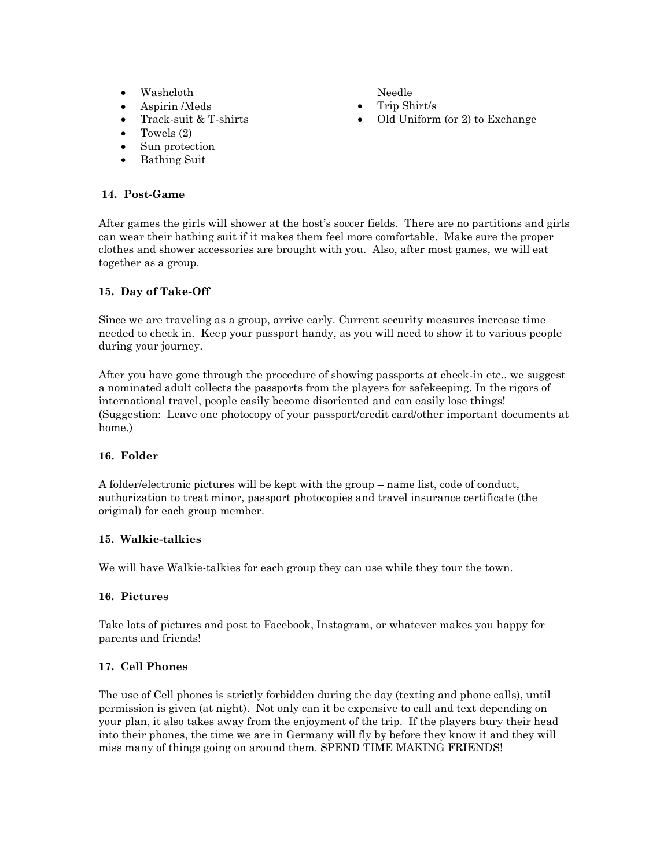- Washcloth
- Aspirin /Meds
- Track-suit & T-shirts
- Towels (2)
- Sun protection
- Bathing Suit

#### **14. Post-Game**

After games the girls will shower at the host's soccer fields. There are no partitions and girls can wear their bathing suit if it makes them feel more comfortable. Make sure the proper clothes and shower accessories are brought with you. Also, after most games, we will eat together as a group.

### **15. Day of Take-Off**

Since we are traveling as a group, arrive early. Current security measures increase time needed to check in. Keep your passport handy, as you will need to show it to various people during your journey.

After you have gone through the procedure of showing passports at check-in etc., we suggest a nominated adult collects the passports from the players for safekeeping. In the rigors of international travel, people easily become disoriented and can easily lose things! (Suggestion: Leave one photocopy of your passport/credit card/other important documents at home.)

### **16. Folder**

A folder/electronic pictures will be kept with the group – name list, code of conduct, authorization to treat minor, passport photocopies and travel insurance certificate (the original) for each group member.

### **15. Walkie-talkies**

We will have Walkie-talkies for each group they can use while they tour the town.

#### **16. Pictures**

Take lots of pictures and post to Facebook, Instagram, or whatever makes you happy for parents and friends!

### **17. Cell Phones**

The use of Cell phones is strictly forbidden during the day (texting and phone calls), until permission is given (at night). Not only can it be expensive to call and text depending on your plan, it also takes away from the enjoyment of the trip. If the players bury their head into their phones, the time we are in Germany will fly by before they know it and they will miss many of things going on around them. SPEND TIME MAKING FRIENDS!

Needle

- Trip Shirt/s
- Old Uniform (or 2) to Exchange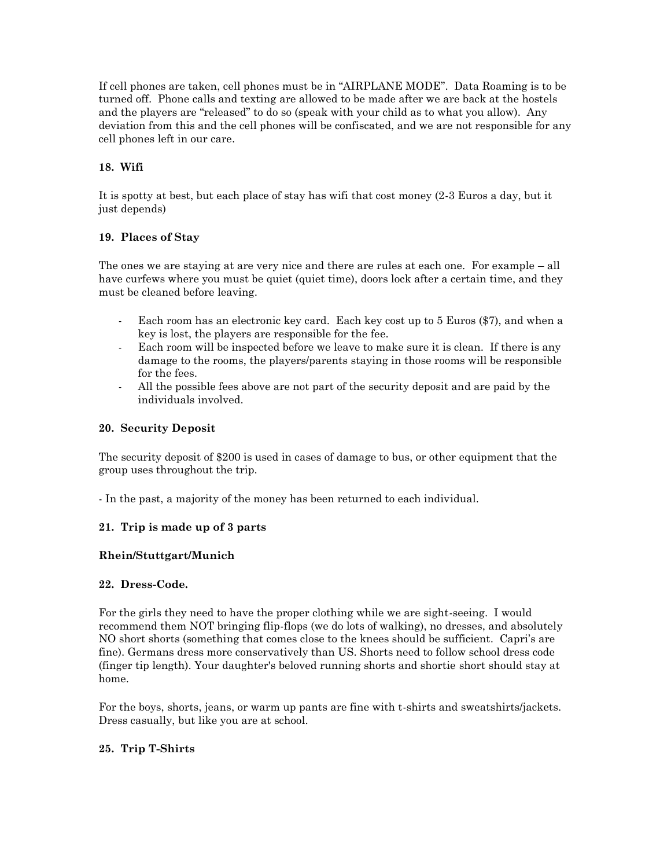If cell phones are taken, cell phones must be in "AIRPLANE MODE". Data Roaming is to be turned off. Phone calls and texting are allowed to be made after we are back at the hostels and the players are "released" to do so (speak with your child as to what you allow). Any deviation from this and the cell phones will be confiscated, and we are not responsible for any cell phones left in our care.

### **18. Wifi**

It is spotty at best, but each place of stay has wifi that cost money (2-3 Euros a day, but it just depends)

#### **19. Places of Stay**

The ones we are staying at are very nice and there are rules at each one. For example – all have curfews where you must be quiet (quiet time), doors lock after a certain time, and they must be cleaned before leaving.

- Each room has an electronic key card. Each key cost up to 5 Euros (\$7), and when a key is lost, the players are responsible for the fee.
- Each room will be inspected before we leave to make sure it is clean. If there is any damage to the rooms, the players/parents staying in those rooms will be responsible for the fees.
- All the possible fees above are not part of the security deposit and are paid by the individuals involved.

#### **20. Security Deposit**

The security deposit of \$200 is used in cases of damage to bus, or other equipment that the group uses throughout the trip.

- In the past, a majority of the money has been returned to each individual.

### **21. Trip is made up of 3 parts**

#### **Rhein/Stuttgart/Munich**

#### **22. Dress-Code.**

For the girls they need to have the proper clothing while we are sight-seeing. I would recommend them NOT bringing flip-flops (we do lots of walking), no dresses, and absolutely NO short shorts (something that comes close to the knees should be sufficient. Capri's are fine). Germans dress more conservatively than US. Shorts need to follow school dress code (finger tip length). Your daughter's beloved running shorts and shortie short should stay at home.

For the boys, shorts, jeans, or warm up pants are fine with t-shirts and sweatshirts/jackets. Dress casually, but like you are at school.

#### **25. Trip T-Shirts**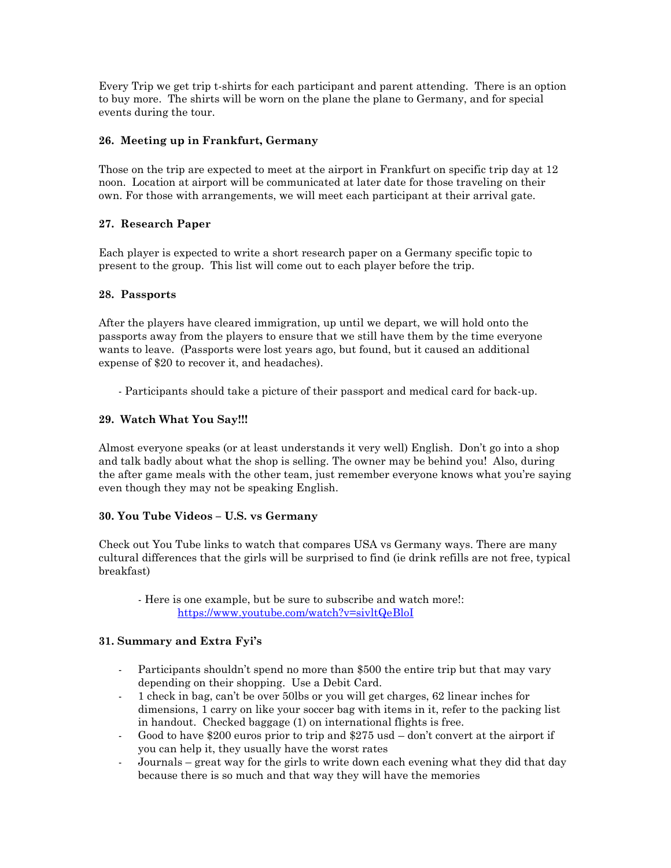Every Trip we get trip t-shirts for each participant and parent attending. There is an option to buy more. The shirts will be worn on the plane the plane to Germany, and for special events during the tour.

### **26. Meeting up in Frankfurt, Germany**

Those on the trip are expected to meet at the airport in Frankfurt on specific trip day at 12 noon. Location at airport will be communicated at later date for those traveling on their own. For those with arrangements, we will meet each participant at their arrival gate.

# **27. Research Paper**

Each player is expected to write a short research paper on a Germany specific topic to present to the group. This list will come out to each player before the trip.

### **28. Passports**

After the players have cleared immigration, up until we depart, we will hold onto the passports away from the players to ensure that we still have them by the time everyone wants to leave. (Passports were lost years ago, but found, but it caused an additional expense of \$20 to recover it, and headaches).

- Participants should take a picture of their passport and medical card for back-up.

# **29. Watch What You Say!!!**

Almost everyone speaks (or at least understands it very well) English. Don't go into a shop and talk badly about what the shop is selling. The owner may be behind you! Also, during the after game meals with the other team, just remember everyone knows what you're saying even though they may not be speaking English.

### **30. You Tube Videos – U.S. vs Germany**

Check out You Tube links to watch that compares USA vs Germany ways. There are many cultural differences that the girls will be surprised to find (ie drink refills are not free, typical breakfast)

- Here is one example, but be sure to subscribe and watch more!: <https://www.youtube.com/watch?v=sivltQeBloI>

### **31. Summary and Extra Fyi's**

- Participants shouldn't spend no more than \$500 the entire trip but that may vary depending on their shopping. Use a Debit Card.
- 1 check in bag, can't be over 50lbs or you will get charges, 62 linear inches for dimensions, 1 carry on like your soccer bag with items in it, refer to the packing list in handout. Checked baggage (1) on international flights is free.
- Good to have \$200 euros prior to trip and \$275 usd don't convert at the airport if you can help it, they usually have the worst rates
- Journals great way for the girls to write down each evening what they did that day because there is so much and that way they will have the memories